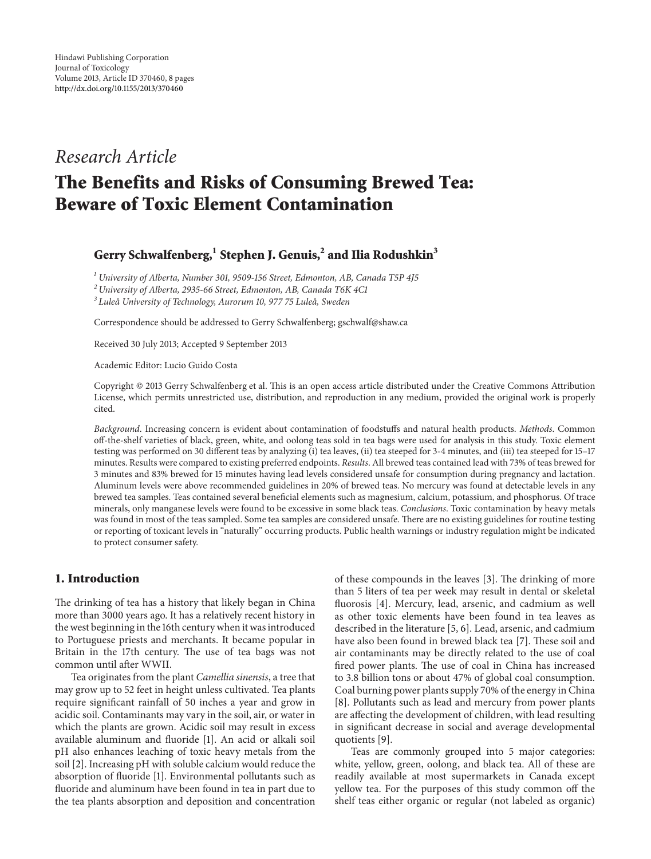# *Research Article*

# **The Benefits and Risks of Consuming Brewed Tea: Beware of Toxic Element Contamination**

# **Gerry Schwalfenberg,<sup>1</sup> Stephen J. Genuis,2 and Ilia Rodushkin3**

*<sup>1</sup> University of Alberta, Number 301, 9509-156 Street, Edmonton, AB, Canada T5P 4J5*

*<sup>2</sup> University of Alberta, 2935-66 Street, Edmonton, AB, Canada T6K 4C1*

<sup>3</sup> Luleå University of Technology, Aurorum 10, 977 75 Luleå, Sweden

Correspondence should be addressed to Gerry Schwalfenberg; gschwalf@shaw.ca

Received 30 July 2013; Accepted 9 September 2013

Academic Editor: Lucio Guido Costa

Copyright © 2013 Gerry Schwalfenberg et al. This is an open access article distributed under the Creative Commons Attribution License, which permits unrestricted use, distribution, and reproduction in any medium, provided the original work is properly cited.

*Background*. Increasing concern is evident about contamination of foodstuffs and natural health products. *Methods*. Common off-the-shelf varieties of black, green, white, and oolong teas sold in tea bags were used for analysis in this study. Toxic element testing was performed on 30 different teas by analyzing (i) tea leaves, (ii) tea steeped for 3-4 minutes, and (iii) tea steeped for 15–17 minutes. Results were compared to existing preferred endpoints. *Results*. All brewed teas contained lead with 73% of teas brewed for 3 minutes and 83% brewed for 15 minutes having lead levels considered unsafe for consumption during pregnancy and lactation. Aluminum levels were above recommended guidelines in 20% of brewed teas. No mercury was found at detectable levels in any brewed tea samples. Teas contained several beneficial elements such as magnesium, calcium, potassium, and phosphorus. Of trace minerals, only manganese levels were found to be excessive in some black teas. *Conclusions*. Toxic contamination by heavy metals was found in most of the teas sampled. Some tea samples are considered unsafe. There are no existing guidelines for routine testing or reporting of toxicant levels in "naturally" occurring products. Public health warnings or industry regulation might be indicated to protect consumer safety.

# **1. Introduction**

The drinking of tea has a history that likely began in China more than 3000 years ago. It has a relatively recent history in the west beginning in the 16th century when it was introduced to Portuguese priests and merchants. It became popular in Britain in the 17th century. The use of tea bags was not common until after WWII.

Tea originates from the plant *Camellia sinensis*, a tree that may grow up to 52 feet in height unless cultivated. Tea plants require significant rainfall of 50 inches a year and grow in acidic soil. Contaminants may vary in the soil, air, or water in which the plants are grown. Acidic soil may result in excess available aluminum and fluoride [\[1](#page-5-1)]. An acid or alkali soil pH also enhances leaching of toxic heavy metals from the soil [\[2](#page-5-2)]. Increasing pH with soluble calcium would reduce the absorption of fluoride [\[1](#page-5-1)]. Environmental pollutants such as fluoride and aluminum have been found in tea in part due to the tea plants absorption and deposition and concentration

of these compounds in the leaves [\[3](#page-5-3)]. The drinking of more than 5 liters of tea per week may result in dental or skeletal fluorosis [\[4\]](#page-5-4). Mercury, lead, arsenic, and cadmium as well as other toxic elements have been found in tea leaves as described in the literature [\[5](#page-6-0), [6\]](#page-6-1). Lead, arsenic, and cadmium have also been found in brewed black tea [\[7\]](#page-6-2). These soil and air contaminants may be directly related to the use of coal fired power plants. The use of coal in China has increased to 3.8 billion tons or about 47% of global coal consumption. Coal burning power plants supply 70% of the energy in China [\[8\]](#page-6-3). Pollutants such as lead and mercury from power plants are affecting the development of children, with lead resulting in significant decrease in social and average developmental quotients [\[9](#page-6-4)].

Teas are commonly grouped into 5 major categories: white, yellow, green, oolong, and black tea. All of these are readily available at most supermarkets in Canada except yellow tea. For the purposes of this study common off the shelf teas either organic or regular (not labeled as organic)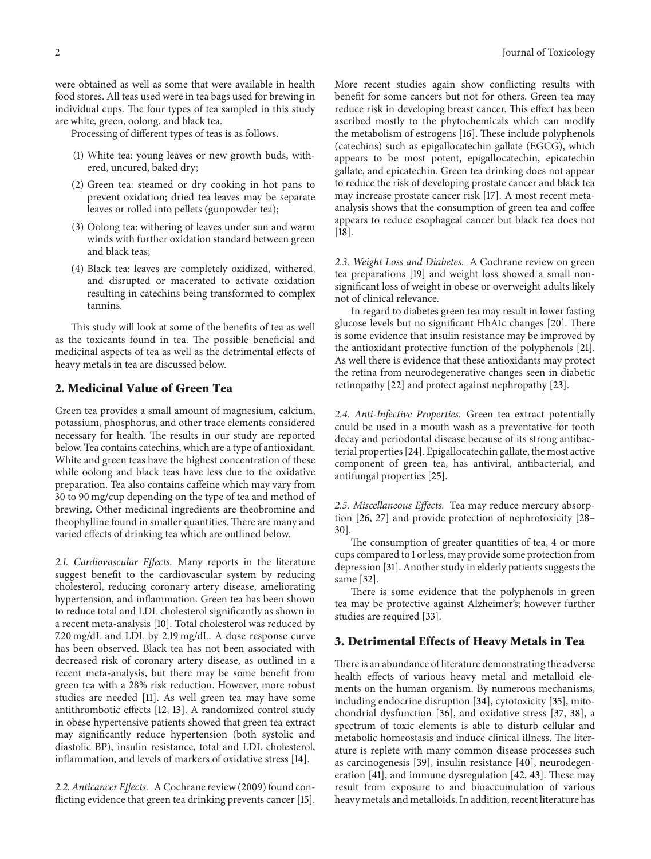were obtained as well as some that were available in health food stores. All teas used were in tea bags used for brewing in individual cups. The four types of tea sampled in this study are white, green, oolong, and black tea.

Processing of different types of teas is as follows.

- (1) White tea: young leaves or new growth buds, withered, uncured, baked dry;
- (2) Green tea: steamed or dry cooking in hot pans to prevent oxidation; dried tea leaves may be separate leaves or rolled into pellets (gunpowder tea);
- (3) Oolong tea: withering of leaves under sun and warm winds with further oxidation standard between green and black teas;
- (4) Black tea: leaves are completely oxidized, withered, and disrupted or macerated to activate oxidation resulting in catechins being transformed to complex tannins.

This study will look at some of the benefits of tea as well as the toxicants found in tea. The possible beneficial and medicinal aspects of tea as well as the detrimental effects of heavy metals in tea are discussed below.

# **2. Medicinal Value of Green Tea**

Green tea provides a small amount of magnesium, calcium, potassium, phosphorus, and other trace elements considered necessary for health. The results in our study are reported below. Tea contains catechins, which are a type of antioxidant. White and green teas have the highest concentration of these while oolong and black teas have less due to the oxidative preparation. Tea also contains caffeine which may vary from 30 to 90 mg/cup depending on the type of tea and method of brewing. Other medicinal ingredients are theobromine and theophylline found in smaller quantities. There are many and varied effects of drinking tea which are outlined below.

*2.1. Cardiovascular Effects.* Many reports in the literature suggest benefit to the cardiovascular system by reducing cholesterol, reducing coronary artery disease, ameliorating hypertension, and inflammation. Green tea has been shown to reduce total and LDL cholesterol significantly as shown in a recent meta-analysis [\[10](#page-6-5)]. Total cholesterol was reduced by 7.20 mg/dL and LDL by 2.19 mg/dL. A dose response curve has been observed. Black tea has not been associated with decreased risk of coronary artery disease, as outlined in a recent meta-analysis, but there may be some benefit from green tea with a 28% risk reduction. However, more robust studies are needed [\[11](#page-6-6)]. As well green tea may have some antithrombotic effects [\[12,](#page-6-7) [13\]](#page-6-8). A randomized control study in obese hypertensive patients showed that green tea extract may significantly reduce hypertension (both systolic and diastolic BP), insulin resistance, total and LDL cholesterol, inflammation, and levels of markers of oxidative stress [\[14\]](#page-6-9).

*2.2. Anticancer Effects.* A Cochrane review (2009) found conflicting evidence that green tea drinking prevents cancer [\[15\]](#page-6-10). More recent studies again show conflicting results with benefit for some cancers but not for others. Green tea may reduce risk in developing breast cancer. This effect has been ascribed mostly to the phytochemicals which can modify the metabolism of estrogens [\[16\]](#page-6-11). These include polyphenols (catechins) such as epigallocatechin gallate (EGCG), which appears to be most potent, epigallocatechin, epicatechin gallate, and epicatechin. Green tea drinking does not appear to reduce the risk of developing prostate cancer and black tea may increase prostate cancer risk [\[17\]](#page-6-12). A most recent metaanalysis shows that the consumption of green tea and coffee appears to reduce esophageal cancer but black tea does not [\[18](#page-6-13)].

*2.3. Weight Loss and Diabetes.* A Cochrane review on green tea preparations [\[19\]](#page-6-14) and weight loss showed a small nonsignificant loss of weight in obese or overweight adults likely not of clinical relevance.

In regard to diabetes green tea may result in lower fasting glucose levels but no significant HbA1c changes [\[20](#page-6-15)]. There is some evidence that insulin resistance may be improved by the antioxidant protective function of the polyphenols [\[21](#page-6-16)]. As well there is evidence that these antioxidants may protect the retina from neurodegenerative changes seen in diabetic retinopathy [\[22\]](#page-6-17) and protect against nephropathy [\[23](#page-6-18)].

*2.4. Anti-Infective Properties.* Green tea extract potentially could be used in a mouth wash as a preventative for tooth decay and periodontal disease because of its strong antibacterial properties [\[24\]](#page-6-19). Epigallocatechin gallate, the most active component of green tea, has antiviral, antibacterial, and antifungal properties [\[25](#page-6-20)].

*2.5. Miscellaneous Effects.* Tea may reduce mercury absorption [\[26,](#page-6-21) [27\]](#page-6-22) and provide protection of nephrotoxicity [\[28–](#page-6-23) [30](#page-6-24)].

The consumption of greater quantities of tea, 4 or more cups compared to 1 or less, may provide some protection from depression [\[31](#page-6-25)]. Another study in elderly patients suggests the same [\[32\]](#page-6-26).

There is some evidence that the polyphenols in green tea may be protective against Alzheimer's; however further studies are required [\[33](#page-6-27)].

#### **3. Detrimental Effects of Heavy Metals in Tea**

There is an abundance of literature demonstrating the adverse health effects of various heavy metal and metalloid elements on the human organism. By numerous mechanisms, including endocrine disruption [\[34\]](#page-6-28), cytotoxicity [\[35](#page-6-29)], mitochondrial dysfunction [\[36\]](#page-6-30), and oxidative stress [\[37,](#page-7-0) [38](#page-7-1)], a spectrum of toxic elements is able to disturb cellular and metabolic homeostasis and induce clinical illness. The literature is replete with many common disease processes such as carcinogenesis [\[39\]](#page-7-2), insulin resistance [\[40\]](#page-7-3), neurodegeneration [\[41](#page-7-4)], and immune dysregulation [\[42,](#page-7-5) [43\]](#page-7-6). These may result from exposure to and bioaccumulation of various heavy metals and metalloids. In addition, recent literature has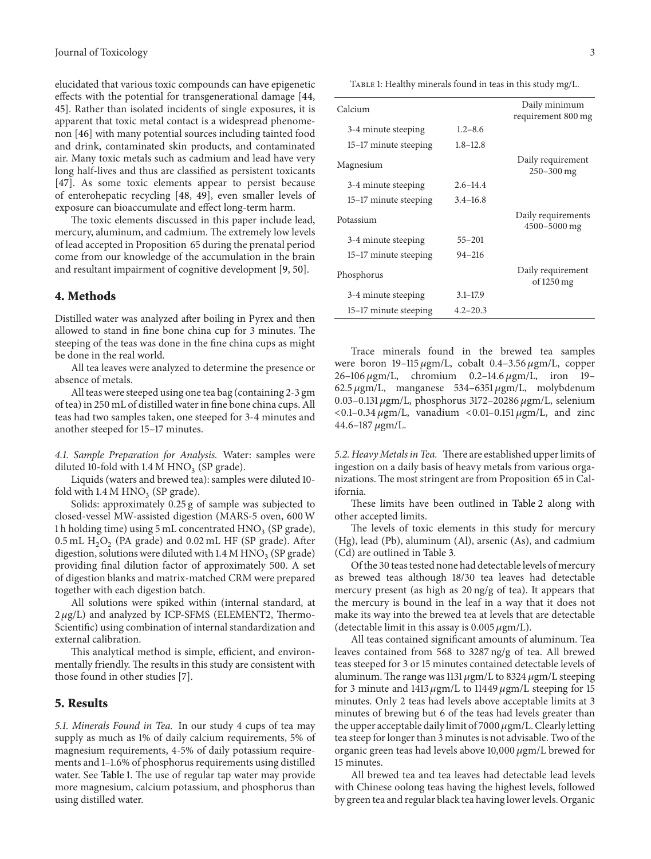elucidated that various toxic compounds can have epigenetic effects with the potential for transgenerational damage [\[44](#page-7-7), [45](#page-7-8)]. Rather than isolated incidents of single exposures, it is apparent that toxic metal contact is a widespread phenomenon [\[46](#page-7-9)] with many potential sources including tainted food and drink, contaminated skin products, and contaminated air. Many toxic metals such as cadmium and lead have very long half-lives and thus are classified as persistent toxicants [\[47\]](#page-7-10). As some toxic elements appear to persist because of enterohepatic recycling [\[48,](#page-7-11) [49\]](#page-7-12), even smaller levels of exposure can bioaccumulate and effect long-term harm.

The toxic elements discussed in this paper include lead, mercury, aluminum, and cadmium. The extremely low levels of lead accepted in Proposition 65 during the prenatal period come from our knowledge of the accumulation in the brain and resultant impairment of cognitive development [\[9](#page-6-4), [50\]](#page-7-13).

#### **4. Methods**

Distilled water was analyzed after boiling in Pyrex and then allowed to stand in fine bone china cup for 3 minutes. The steeping of the teas was done in the fine china cups as might be done in the real world.

All tea leaves were analyzed to determine the presence or absence of metals.

All teas were steeped using one tea bag (containing 2-3 gm of tea) in 250 mL of distilled water in fine bone china cups. All teas had two samples taken, one steeped for 3-4 minutes and another steeped for 15–17 minutes.

*4.1. Sample Preparation for Analysis.* Water: samples were diluted 10-fold with  $1.4 M HNO<sub>3</sub>$  (SP grade).

Liquids (waters and brewed tea): samples were diluted 10 fold with  $1.4 M HNO<sub>3</sub>$  (SP grade).

Solids: approximately 0.25 g of sample was subjected to closed-vessel MW-assisted digestion (MARS-5 oven, 600 W 1 h holding time) using 5 mL concentrated  $HNO<sub>3</sub>$  (SP grade),  $0.5$  mL  $H<sub>2</sub>O<sub>2</sub>$  (PA grade) and  $0.02$  mL HF (SP grade). After digestion, solutions were diluted with  $1.4 M HNO<sub>3</sub>$  (SP grade) providing final dilution factor of approximately 500. A set of digestion blanks and matrix-matched CRM were prepared together with each digestion batch.

All solutions were spiked within (internal standard, at  $2 \mu g/L$ ) and analyzed by ICP-SFMS (ELEMENT2, Thermo-Scientific) using combination of internal standardization and external calibration.

This analytical method is simple, efficient, and environmentally friendly. The results in this study are consistent with those found in other studies [\[7](#page-6-2)].

#### **5. Results**

*5.1. Minerals Found in Tea.* In our study 4 cups of tea may supply as much as 1% of daily calcium requirements, 5% of magnesium requirements, 4-5% of daily potassium requirements and 1–1.6% of phosphorus requirements using distilled water. See [Table 1.](#page-2-0) The use of regular tap water may provide more magnesium, calcium potassium, and phosphorus than using distilled water.

<span id="page-2-0"></span>

| TABLE 1: Healthy minerals found in teas in this study mg/L. |  |  |
|-------------------------------------------------------------|--|--|

| Calcium               |              | Daily minimum<br>requirement 800 mg          |
|-----------------------|--------------|----------------------------------------------|
| 3-4 minute steeping   | $1.2 - 8.6$  |                                              |
| 15–17 minute steeping | $1.8 - 12.8$ |                                              |
| Magnesium             |              | Daily requirement<br>$250 - 300$ mg          |
| 3-4 minute steeping   | $2.6 - 14.4$ |                                              |
| 15–17 minute steeping | $3.4 - 16.8$ |                                              |
| Potassium             |              | Daily requirements<br>4500-5000 mg           |
| 3-4 minute steeping   | $55 - 201$   |                                              |
| 15–17 minute steeping | $94 - 216$   |                                              |
| Phosphorus            |              | Daily requirement<br>of $1250 \,\mathrm{mg}$ |
| 3-4 minute steeping   | $3.1 - 17.9$ |                                              |
| 15–17 minute steeping | $4.2 - 20.3$ |                                              |

Trace minerals found in the brewed tea samples were boron  $19-115 \mu g$ m/L, cobalt 0.4-3.56  $\mu$ gm/L, copper  $26-106 \,\mu\text{gm/L}$ , chromium  $0.2-14.6 \,\mu\text{gm/L}$ , iron 19-62.5  $\mu$ gm/L, manganese 534–6351  $\mu$ gm/L, molybdenum 0.03–0.131  $\mu$ gm/L, phosphorus 3172–20286  $\mu$ gm/L, selenium  $<$  0.1–0.34  $\mu$ gm/L, vanadium  $<$  0.01–0.151  $\mu$ gm/L, and zinc  $44.6 - 187 \,\mu\text{gm/L}.$ 

*5.2. Heavy Metals in Tea.* There are established upper limits of ingestion on a daily basis of heavy metals from various organizations. The most stringent are from Proposition 65 in California.

These limits have been outlined in [Table 2](#page-3-0) along with other accepted limits.

The levels of toxic elements in this study for mercury (Hg), lead (Pb), aluminum (Al), arsenic (As), and cadmium (Cd) are outlined in [Table 3.](#page-3-1)

Of the 30 teas tested none had detectable levels of mercury as brewed teas although 18/30 tea leaves had detectable mercury present (as high as 20 ng/g of tea). It appears that the mercury is bound in the leaf in a way that it does not make its way into the brewed tea at levels that are detectable (detectable limit in this assay is  $0.005 \mu g m/L$ ).

All teas contained significant amounts of aluminum. Tea leaves contained from 568 to 3287 ng/g of tea. All brewed teas steeped for 3 or 15 minutes contained detectable levels of aluminum. The range was 1131  $\mu$ gm/L to 8324  $\mu$ gm/L steeping for 3 minute and 1413  $\mu$ gm/L to 11449  $\mu$ gm/L steeping for 15 minutes. Only 2 teas had levels above acceptable limits at 3 minutes of brewing but 6 of the teas had levels greater than the upper acceptable daily limit of 7000  $\mu$ gm/L. Clearly letting tea steep for longer than 3 minutes is not advisable. Two of the organic green teas had levels above 10,000  $\mu$ gm/L brewed for 15 minutes.

All brewed tea and tea leaves had detectable lead levels with Chinese oolong teas having the highest levels, followed by green tea and regular black tea having lower levels. Organic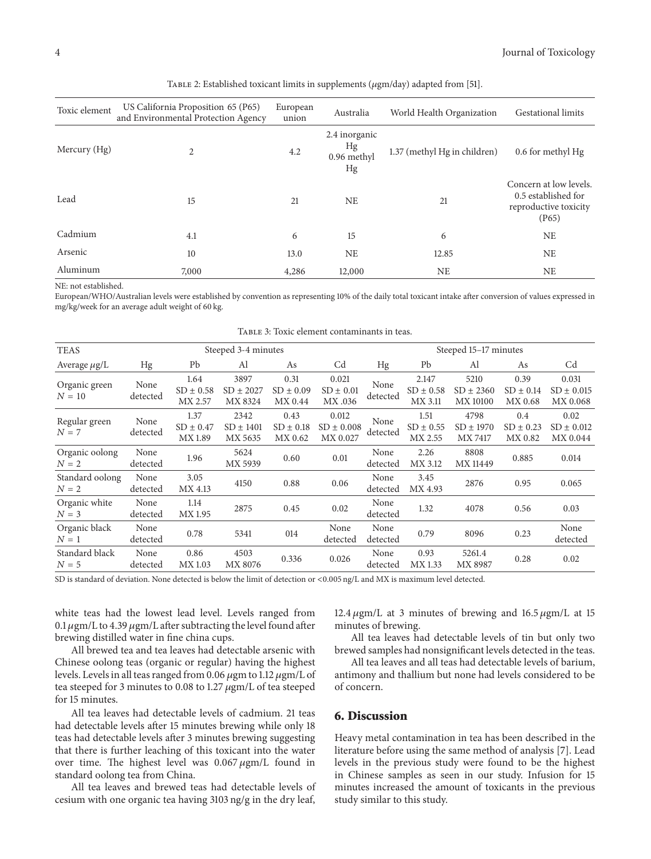| Toxic element | US California Proposition 65 (P65)<br>and Environmental Protection Agency | European<br>union | Australia                                | World Health Organization    | <b>Gestational limits</b>                                                       |
|---------------|---------------------------------------------------------------------------|-------------------|------------------------------------------|------------------------------|---------------------------------------------------------------------------------|
| Mercury (Hg)  | $\overline{c}$                                                            | 4.2               | 2.4 inorganic<br>Hg<br>0.96 methyl<br>Hg | 1.37 (methyl Hg in children) | 0.6 for methyl Hg                                                               |
| Lead          | 15                                                                        | 21                | <b>NE</b>                                | 21                           | Concern at low levels.<br>0.5 established for<br>reproductive toxicity<br>(P65) |
| Cadmium       | 4.1                                                                       | 6                 | 15                                       | 6                            | NE                                                                              |
| Arsenic       | 10                                                                        | 13.0              | <b>NE</b>                                | 12.85                        | <b>NE</b>                                                                       |
| Aluminum      | 7,000                                                                     | 4,286             | 12,000                                   | <b>NE</b>                    | <b>NE</b>                                                                       |

<span id="page-3-0"></span>TABLE 2: Established toxicant limits in supplements ( $\mu$ gm/day) adapted from [\[51](#page-7-14)].

NE: not established.

European/WHO/Australian levels were established by convention as representing 10% of the daily total toxicant intake after conversion of values expressed in mg/kg/week for an average adult weight of 60 kg.

| Steeped 3-4 minutes |                                  |                                  |                                  |                                     | Steeped 15–17 minutes |                                   |                                   |                                  |                                     |
|---------------------|----------------------------------|----------------------------------|----------------------------------|-------------------------------------|-----------------------|-----------------------------------|-----------------------------------|----------------------------------|-------------------------------------|
| Hg                  | Pb                               | Al                               | As                               | Cd                                  | Hg                    | Pb                                | Al                                | As                               | Cd                                  |
| None<br>detected    | 1.64<br>$SD \pm 0.58$<br>MX 2.57 | 3897<br>$SD \pm 2027$<br>MX 8324 | 0.31<br>$SD \pm 0.09$<br>MX 0.44 | 0.021<br>$SD \pm 0.01$<br>MX.036    | None<br>detected      | 2.147<br>$SD \pm 0.58$<br>MX 3.11 | 5210<br>$SD \pm 2360$<br>MX 10100 | 0.39<br>$SD \pm 0.14$<br>MX 0.68 | 0.031<br>$SD \pm 0.015$<br>MX 0.068 |
| None<br>detected    | 1.37<br>$SD \pm 0.47$<br>MX 1.89 | 2342<br>$SD \pm 1401$<br>MX 5635 | 0.43<br>$SD \pm 0.18$<br>MX 0.62 | 0.012<br>$SD \pm 0.008$<br>MX 0.027 | None<br>detected      | 1.51<br>$SD \pm 0.55$<br>MX 2.55  | 4798<br>$SD \pm 1970$<br>MX 7417  | 0.4<br>$SD \pm 0.23$<br>MX 0.82  | 0.02<br>$SD \pm 0.012$<br>MX 0.044  |
| None<br>detected    | 1.96                             | 5624<br>MX 5939                  | 0.60                             | 0.01                                | None<br>detected      | 2.26<br>MX 3.12                   | 8808<br><b>MX11449</b>            | 0.885                            | 0.014                               |
| None<br>detected    | 3.05<br>MX 4.13                  | 4150                             | 0.88                             | 0.06                                | None<br>detected      | 3.45<br>MX 4.93                   | 2876                              | 0.95                             | 0.065                               |
| None<br>detected    | 1.14<br>MX 1.95                  | 2875                             | 0.45                             | 0.02                                | None<br>detected      | 1.32                              | 4078                              | 0.56                             | 0.03                                |
| None<br>detected    | 0.78                             | 5341                             | 014                              | None<br>detected                    | None<br>detected      | 0.79                              | 8096                              | 0.23                             | None<br>detected                    |
| None<br>detected    | 0.86<br>MX 1.03                  | 4503<br>MX 8076                  | 0.336                            | 0.026                               | None<br>detected      | 0.93<br>MX 1.33                   | 5261.4<br>MX 8987                 | 0.28                             | 0.02                                |
|                     |                                  |                                  |                                  |                                     |                       |                                   |                                   |                                  |                                     |

<span id="page-3-1"></span>Table 3: Toxic element contaminants in teas.

SD is standard of deviation. None detected is below the limit of detection or <0.005 ng/L and MX is maximum level detected.

white teas had the lowest lead level. Levels ranged from 0.1  $\mu$ gm/L to 4.39  $\mu$ gm/L after subtracting the level found after brewing distilled water in fine china cups.

All brewed tea and tea leaves had detectable arsenic with Chinese oolong teas (organic or regular) having the highest levels. Levels in all teas ranged from 0.06  $\mu$ gm to 1.12  $\mu$ gm/L of tea steeped for 3 minutes to 0.08 to 1.27  $\mu$ gm/L of tea steeped for 15 minutes.

All tea leaves had detectable levels of cadmium. 21 teas had detectable levels after 15 minutes brewing while only 18 teas had detectable levels after 3 minutes brewing suggesting that there is further leaching of this toxicant into the water over time. The highest level was  $0.067 \mu$ gm/L found in standard oolong tea from China.

All tea leaves and brewed teas had detectable levels of cesium with one organic tea having 3103 ng/g in the dry leaf, 12.4  $\mu$ gm/L at 3 minutes of brewing and 16.5  $\mu$ gm/L at 15 minutes of brewing.

All tea leaves had detectable levels of tin but only two brewed samples had nonsignificant levels detected in the teas.

All tea leaves and all teas had detectable levels of barium, antimony and thallium but none had levels considered to be of concern.

#### **6. Discussion**

Heavy metal contamination in tea has been described in the literature before using the same method of analysis [\[7](#page-6-2)]. Lead levels in the previous study were found to be the highest in Chinese samples as seen in our study. Infusion for 15 minutes increased the amount of toxicants in the previous study similar to this study.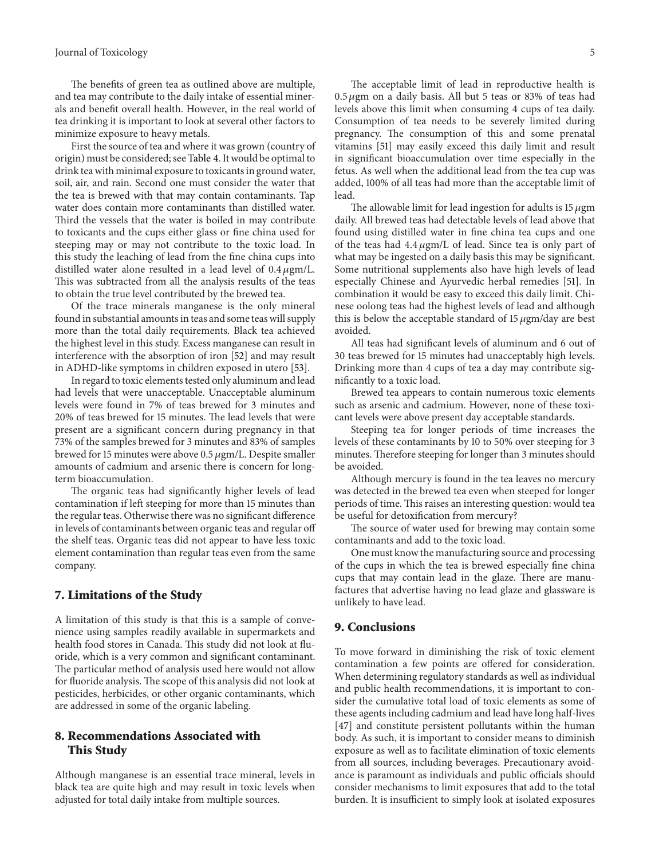#### Journal of Toxicology 5

The benefits of green tea as outlined above are multiple, and tea may contribute to the daily intake of essential minerals and benefit overall health. However, in the real world of tea drinking it is important to look at several other factors to minimize exposure to heavy metals.

First the source of tea and where it was grown (country of origin) must be considered; see[Table 4.](#page-5-5) It would be optimal to drink tea with minimal exposure to toxicants in ground water, soil, air, and rain. Second one must consider the water that the tea is brewed with that may contain contaminants. Tap water does contain more contaminants than distilled water. Third the vessels that the water is boiled in may contribute to toxicants and the cups either glass or fine china used for steeping may or may not contribute to the toxic load. In this study the leaching of lead from the fine china cups into distilled water alone resulted in a lead level of  $0.4 \mu$ gm/L. This was subtracted from all the analysis results of the teas to obtain the true level contributed by the brewed tea.

Of the trace minerals manganese is the only mineral found in substantial amounts in teas and some teas will supply more than the total daily requirements. Black tea achieved the highest level in this study. Excess manganese can result in interference with the absorption of iron [\[52](#page-7-15)] and may result in ADHD-like symptoms in children exposed in utero [\[53](#page-7-16)].

In regard to toxic elements tested only aluminum and lead had levels that were unacceptable. Unacceptable aluminum levels were found in 7% of teas brewed for 3 minutes and 20% of teas brewed for 15 minutes. The lead levels that were present are a significant concern during pregnancy in that 73% of the samples brewed for 3 minutes and 83% of samples brewed for 15 minutes were above 0.5  $\mu$ gm/L. Despite smaller amounts of cadmium and arsenic there is concern for longterm bioaccumulation.

The organic teas had significantly higher levels of lead contamination if left steeping for more than 15 minutes than the regular teas. Otherwise there was no significant difference in levels of contaminants between organic teas and regular off the shelf teas. Organic teas did not appear to have less toxic element contamination than regular teas even from the same company.

#### **7. Limitations of the Study**

A limitation of this study is that this is a sample of convenience using samples readily available in supermarkets and health food stores in Canada. This study did not look at fluoride, which is a very common and significant contaminant. The particular method of analysis used here would not allow for fluoride analysis. The scope of this analysis did not look at pesticides, herbicides, or other organic contaminants, which are addressed in some of the organic labeling.

## **8. Recommendations Associated with This Study**

Although manganese is an essential trace mineral, levels in black tea are quite high and may result in toxic levels when adjusted for total daily intake from multiple sources.

The acceptable limit of lead in reproductive health is  $0.5 \mu$ gm on a daily basis. All but 5 teas or 83% of teas had levels above this limit when consuming 4 cups of tea daily. Consumption of tea needs to be severely limited during pregnancy. The consumption of this and some prenatal vitamins [\[51](#page-7-14)] may easily exceed this daily limit and result in significant bioaccumulation over time especially in the fetus. As well when the additional lead from the tea cup was added, 100% of all teas had more than the acceptable limit of

The allowable limit for lead ingestion for adults is  $15 \mu g$ m daily. All brewed teas had detectable levels of lead above that found using distilled water in fine china tea cups and one of the teas had  $4.4 \mu$ gm/L of lead. Since tea is only part of what may be ingested on a daily basis this may be significant. Some nutritional supplements also have high levels of lead especially Chinese and Ayurvedic herbal remedies [\[51\]](#page-7-14). In combination it would be easy to exceed this daily limit. Chinese oolong teas had the highest levels of lead and although this is below the acceptable standard of  $15 \mu$ gm/day are best avoided.

All teas had significant levels of aluminum and 6 out of 30 teas brewed for 15 minutes had unacceptably high levels. Drinking more than 4 cups of tea a day may contribute significantly to a toxic load.

Brewed tea appears to contain numerous toxic elements such as arsenic and cadmium. However, none of these toxicant levels were above present day acceptable standards.

Steeping tea for longer periods of time increases the levels of these contaminants by 10 to 50% over steeping for 3 minutes. Therefore steeping for longer than 3 minutes should be avoided.

Although mercury is found in the tea leaves no mercury was detected in the brewed tea even when steeped for longer periods of time. This raises an interesting question: would tea be useful for detoxification from mercury?

The source of water used for brewing may contain some contaminants and add to the toxic load.

One must know the manufacturing source and processing of the cups in which the tea is brewed especially fine china cups that may contain lead in the glaze. There are manufactures that advertise having no lead glaze and glassware is unlikely to have lead.

#### **9. Conclusions**

lead.

To move forward in diminishing the risk of toxic element contamination a few points are offered for consideration. When determining regulatory standards as well as individual and public health recommendations, it is important to consider the cumulative total load of toxic elements as some of these agents including cadmium and lead have long half-lives [\[47\]](#page-7-10) and constitute persistent pollutants within the human body. As such, it is important to consider means to diminish exposure as well as to facilitate elimination of toxic elements from all sources, including beverages. Precautionary avoidance is paramount as individuals and public officials should consider mechanisms to limit exposures that add to the total burden. It is insufficient to simply look at isolated exposures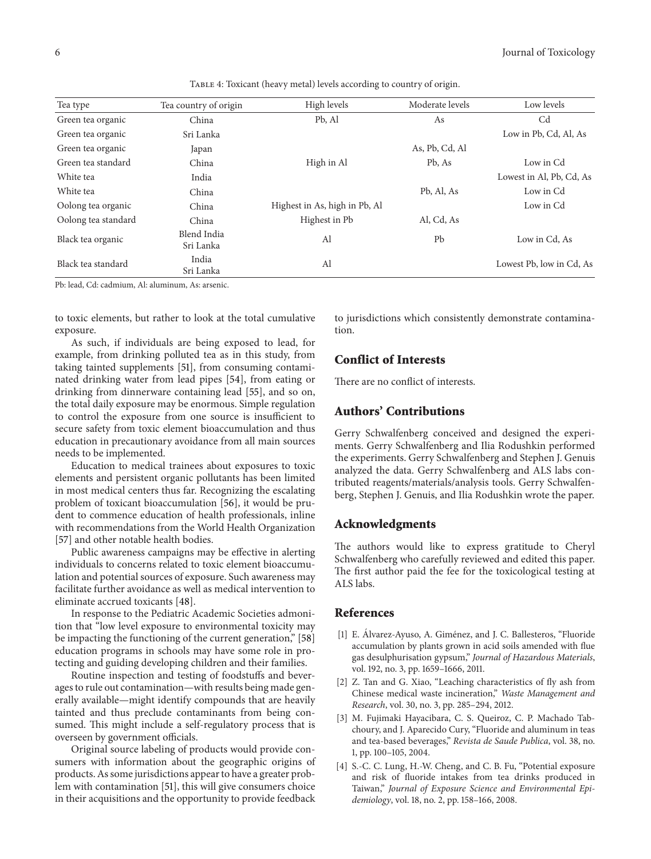| Tea type            | Tea country of origin    | High levels                   | Moderate levels | Low levels               |
|---------------------|--------------------------|-------------------------------|-----------------|--------------------------|
| Green tea organic   | China                    | Pb, Al                        | As              | C <sub>d</sub>           |
| Green tea organic   | Sri Lanka                |                               |                 | Low in Pb, Cd, Al, As    |
| Green tea organic   | Japan                    |                               | As, Pb, Cd, Al  |                          |
| Green tea standard  | China                    | High in Al                    | Pb, As          | Low in Cd                |
| White tea           | India                    |                               |                 | Lowest in Al, Pb, Cd, As |
| White tea           | China                    |                               | Pb, Al, As      | Low in Cd                |
| Oolong tea organic  | China                    | Highest in As, high in Pb, Al |                 | Low in Cd                |
| Oolong tea standard | China                    | Highest in Pb                 | Al, Cd, As      |                          |
| Black tea organic   | Blend India<br>Sri Lanka | Al                            | Pb              | Low in Cd, As            |
| Black tea standard  | India<br>Sri Lanka       | Al                            |                 | Lowest Pb, low in Cd, As |

<span id="page-5-5"></span>TABLE 4: Toxicant (heavy metal) levels according to country of origin.

Pb: lead, Cd: cadmium, Al: aluminum, As: arsenic.

to toxic elements, but rather to look at the total cumulative exposure.

As such, if individuals are being exposed to lead, for example, from drinking polluted tea as in this study, from taking tainted supplements [\[51\]](#page-7-14), from consuming contaminated drinking water from lead pipes [\[54](#page-7-17)], from eating or drinking from dinnerware containing lead [\[55\]](#page-7-18), and so on, the total daily exposure may be enormous. Simple regulation to control the exposure from one source is insufficient to secure safety from toxic element bioaccumulation and thus education in precautionary avoidance from all main sources needs to be implemented.

Education to medical trainees about exposures to toxic elements and persistent organic pollutants has been limited in most medical centers thus far. Recognizing the escalating problem of toxicant bioaccumulation [\[56\]](#page-7-19), it would be prudent to commence education of health professionals, inline with recommendations from the World Health Organization [\[57](#page-7-20)] and other notable health bodies.

Public awareness campaigns may be effective in alerting individuals to concerns related to toxic element bioaccumulation and potential sources of exposure. Such awareness may facilitate further avoidance as well as medical intervention to eliminate accrued toxicants [\[48\]](#page-7-11).

In response to the Pediatric Academic Societies admonition that "low level exposure to environmental toxicity may be impacting the functioning of the current generation," [\[58](#page-7-21)] education programs in schools may have some role in protecting and guiding developing children and their families.

Routine inspection and testing of foodstuffs and beverages to rule out contamination—with results being made generally available—might identify compounds that are heavily tainted and thus preclude contaminants from being consumed. This might include a self-regulatory process that is overseen by government officials.

Original source labeling of products would provide consumers with information about the geographic origins of products. As some jurisdictions appear to have a greater problem with contamination [\[51\]](#page-7-14), this will give consumers choice in their acquisitions and the opportunity to provide feedback

to jurisdictions which consistently demonstrate contamination.

# **Conflict of Interests**

There are no conflict of interests.

## **Authors' Contributions**

Gerry Schwalfenberg conceived and designed the experiments. Gerry Schwalfenberg and Ilia Rodushkin performed the experiments. Gerry Schwalfenberg and Stephen J. Genuis analyzed the data. Gerry Schwalfenberg and ALS labs contributed reagents/materials/analysis tools. Gerry Schwalfenberg, Stephen J. Genuis, and Ilia Rodushkin wrote the paper.

#### **Acknowledgments**

The authors would like to express gratitude to Cheryl Schwalfenberg who carefully reviewed and edited this paper. The first author paid the fee for the toxicological testing at ALS labs.

#### <span id="page-5-0"></span>**References**

- <span id="page-5-1"></span>[1] E. Álvarez-Ayuso, A. Giménez, and J. C. Ballesteros, "Fluoride accumulation by plants grown in acid soils amended with flue gas desulphurisation gypsum," *Journal of Hazardous Materials*, vol. 192, no. 3, pp. 1659–1666, 2011.
- <span id="page-5-2"></span>[2] Z. Tan and G. Xiao, "Leaching characteristics of fly ash from Chinese medical waste incineration," *Waste Management and Research*, vol. 30, no. 3, pp. 285–294, 2012.
- <span id="page-5-3"></span>[3] M. Fujimaki Hayacibara, C. S. Queiroz, C. P. Machado Tabchoury, and J. Aparecido Cury, "Fluoride and aluminum in teas and tea-based beverages," *Revista de Saude Publica*, vol. 38, no. 1, pp. 100–105, 2004.
- <span id="page-5-4"></span>[4] S.-C. C. Lung, H.-W. Cheng, and C. B. Fu, "Potential exposure and risk of fluoride intakes from tea drinks produced in Taiwan," *Journal of Exposure Science and Environmental Epidemiology*, vol. 18, no. 2, pp. 158–166, 2008.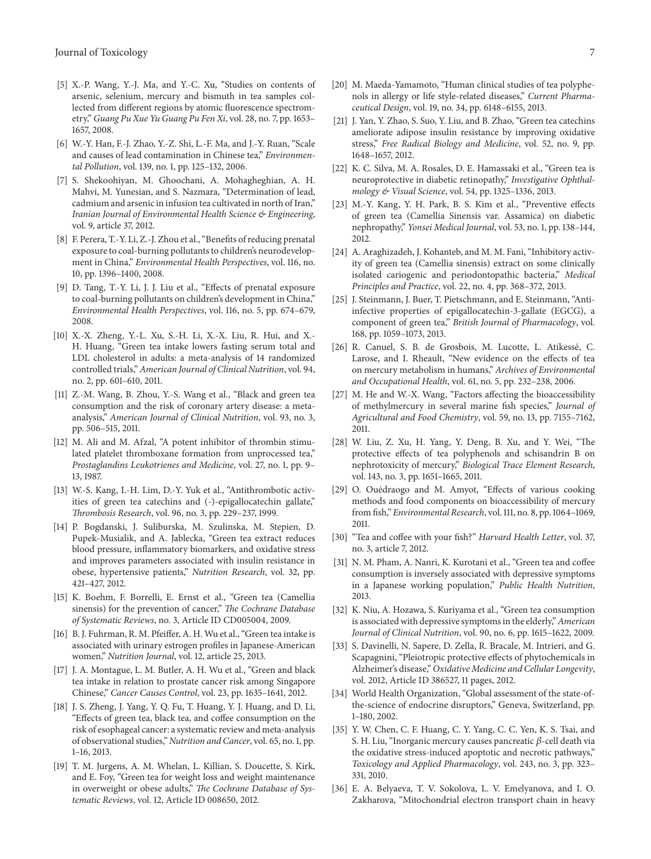- <span id="page-6-0"></span>[5] X.-P. Wang, Y.-J. Ma, and Y.-C. Xu, "Studies on contents of arsenic, selenium, mercury and bismuth in tea samples collected from different regions by atomic fluorescence spectrometry," *Guang Pu Xue Yu Guang Pu Fen Xi*, vol. 28, no. 7, pp. 1653– 1657, 2008.
- <span id="page-6-1"></span>[6] W.-Y. Han, F.-J. Zhao, Y.-Z. Shi, L.-F. Ma, and J.-Y. Ruan, "Scale and causes of lead contamination in Chinese tea," *Environmental Pollution*, vol. 139, no. 1, pp. 125–132, 2006.
- <span id="page-6-2"></span>[7] S. Shekoohiyan, M. Ghoochani, A. Mohagheghian, A. H. Mahvi, M. Yunesian, and S. Nazmara, "Determination of lead, cadmium and arsenic in infusion tea cultivated in north of Iran," *Iranian Journal of Environmental Health Science & Engineering*, vol. 9, article 37, 2012.
- <span id="page-6-3"></span>[8] F. Perera, T.-Y. Li, Z.-J. Zhou et al., "Benefits of reducing prenatal exposure to coal-burning pollutants to children's neurodevelopment in China," *Environmental Health Perspectives*, vol. 116, no. 10, pp. 1396–1400, 2008.
- <span id="page-6-4"></span>[9] D. Tang, T.-Y. Li, J. J. Liu et al., "Effects of prenatal exposure to coal-burning pollutants on children's development in China," *Environmental Health Perspectives*, vol. 116, no. 5, pp. 674–679, 2008.
- <span id="page-6-5"></span>[10] X.-X. Zheng, Y.-L. Xu, S.-H. Li, X.-X. Liu, R. Hui, and X.- H. Huang, "Green tea intake lowers fasting serum total and LDL cholesterol in adults: a meta-analysis of 14 randomized controlled trials,"*American Journal of Clinical Nutrition*, vol. 94, no. 2, pp. 601–610, 2011.
- <span id="page-6-6"></span>[11] Z.-M. Wang, B. Zhou, Y.-S. Wang et al., "Black and green tea consumption and the risk of coronary artery disease: a metaanalysis," *American Journal of Clinical Nutrition*, vol. 93, no. 3, pp. 506–515, 2011.
- <span id="page-6-7"></span>[12] M. Ali and M. Afzal, "A potent inhibitor of thrombin stimulated platelet thromboxane formation from unprocessed tea," *Prostaglandins Leukotrienes and Medicine*, vol. 27, no. 1, pp. 9– 13, 1987.
- <span id="page-6-8"></span>[13] W.-S. Kang, I.-H. Lim, D.-Y. Yuk et al., "Antithrombotic activities of green tea catechins and (-)-epigallocatechin gallate," *Thrombosis Research*, vol. 96, no. 3, pp. 229–237, 1999.
- <span id="page-6-9"></span>[14] P. Bogdanski, J. Suliburska, M. Szulinska, M. Stepien, D. Pupek-Musialik, and A. Jablecka, "Green tea extract reduces blood pressure, inflammatory biomarkers, and oxidative stress and improves parameters associated with insulin resistance in obese, hypertensive patients," *Nutrition Research*, vol. 32, pp. 421–427, 2012.
- <span id="page-6-10"></span>[15] K. Boehm, F. Borrelli, E. Ernst et al., "Green tea (Camellia sinensis) for the prevention of cancer," *The Cochrane Database of Systematic Reviews*, no. 3, Article ID CD005004, 2009.
- <span id="page-6-11"></span>[16] B. J. Fuhrman, R. M. Pfeiffer, A. H. Wu et al., "Green tea intake is associated with urinary estrogen profiles in Japanese-American women," *Nutrition Journal*, vol. 12, article 25, 2013.
- <span id="page-6-12"></span>[17] J. A. Montague, L. M. Butler, A. H. Wu et al., "Green and black tea intake in relation to prostate cancer risk among Singapore Chinese," *Cancer Causes Control*, vol. 23, pp. 1635–1641, 2012.
- <span id="page-6-13"></span>[18] J. S. Zheng, J. Yang, Y. Q. Fu, T. Huang, Y. J. Huang, and D. Li, "Effects of green tea, black tea, and coffee consumption on the risk of esophageal cancer: a systematic review and meta-analysis of observational studies," *Nutrition and Cancer*, vol. 65, no. 1, pp. 1–16, 2013.
- <span id="page-6-14"></span>[19] T. M. Jurgens, A. M. Whelan, L. Killian, S. Doucette, S. Kirk, and E. Foy, "Green tea for weight loss and weight maintenance in overweight or obese adults," *The Cochrane Database of Systematic Reviews*, vol. 12, Article ID 008650, 2012.
- <span id="page-6-15"></span>[20] M. Maeda-Yamamoto, "Human clinical studies of tea polyphenols in allergy or life style-related diseases," *Current Pharmaceutical Design*, vol. 19, no. 34, pp. 6148–6155, 2013.
- <span id="page-6-16"></span>[21] J. Yan, Y. Zhao, S. Suo, Y. Liu, and B. Zhao, "Green tea catechins ameliorate adipose insulin resistance by improving oxidative stress," *Free Radical Biology and Medicine*, vol. 52, no. 9, pp. 1648–1657, 2012.
- <span id="page-6-17"></span>[22] K. C. Silva, M. A. Rosales, D. E. Hamassaki et al., "Green tea is neuroprotective in diabetic retinopathy," *Investigative Ophthalmology & Visual Science*, vol. 54, pp. 1325–1336, 2013.
- <span id="page-6-18"></span>[23] M.-Y. Kang, Y. H. Park, B. S. Kim et al., "Preventive effects of green tea (Camellia Sinensis var. Assamica) on diabetic nephropathy," *Yonsei Medical Journal*, vol. 53, no. 1, pp. 138–144, 2012.
- <span id="page-6-19"></span>[24] A. Araghizadeh, J. Kohanteb, and M. M. Fani, "Inhibitory activity of green tea (Camellia sinensis) extract on some clinically isolated cariogenic and periodontopathic bacteria," *Medical Principles and Practice*, vol. 22, no. 4, pp. 368–372, 2013.
- <span id="page-6-20"></span>[25] J. Steinmann, J. Buer, T. Pietschmann, and E. Steinmann, "Antiinfective properties of epigallocatechin-3-gallate (EGCG), a component of green tea," *British Journal of Pharmacology*, vol. 168, pp. 1059–1073, 2013.
- <span id="page-6-21"></span>[26] R. Canuel, S. B. de Grosbois, M. Lucotte, L. Atikessé, C. Larose, and I. Rheault, "New evidence on the effects of tea on mercury metabolism in humans," *Archives of Environmental and Occupational Health*, vol. 61, no. 5, pp. 232–238, 2006.
- <span id="page-6-22"></span>[27] M. He and W.-X. Wang, "Factors affecting the bioaccessibility of methylmercury in several marine fish species," *Journal of Agricultural and Food Chemistry*, vol. 59, no. 13, pp. 7155–7162, 2011.
- <span id="page-6-23"></span>[28] W. Liu, Z. Xu, H. Yang, Y. Deng, B. Xu, and Y. Wei, "The protective effects of tea polyphenols and schisandrin B on nephrotoxicity of mercury," *Biological Trace Element Research*, vol. 143, no. 3, pp. 1651–1665, 2011.
- [29] O. Ouédraogo and M. Amyot, "Effects of various cooking methods and food components on bioaccessibility of mercury from fish," *Environmental Research*, vol. 111, no. 8, pp. 1064–1069, 2011.
- <span id="page-6-24"></span>[30] "Tea and coffee with your fish?" *Harvard Health Letter*, vol. 37, no. 3, article 7, 2012.
- <span id="page-6-25"></span>[31] N. M. Pham, A. Nanri, K. Kurotani et al., "Green tea and coffee consumption is inversely associated with depressive symptoms in a Japanese working population," *Public Health Nutrition*, 2013.
- <span id="page-6-26"></span>[32] K. Niu, A. Hozawa, S. Kuriyama et al., "Green tea consumption is associated with depressive symptoms in the elderly,"*American Journal of Clinical Nutrition*, vol. 90, no. 6, pp. 1615–1622, 2009.
- <span id="page-6-27"></span>[33] S. Davinelli, N. Sapere, D. Zella, R. Bracale, M. Intrieri, and G. Scapagnini, "Pleiotropic protective effects of phytochemicals in Alzheimer's disease," *Oxidative Medicine and Cellular Longevity*, vol. 2012, Article ID 386527, 11 pages, 2012.
- <span id="page-6-28"></span>[34] World Health Organization, "Global assessment of the state-ofthe-science of endocrine disruptors," Geneva, Switzerland, pp. 1–180, 2002.
- <span id="page-6-29"></span>[35] Y. W. Chen, C. F. Huang, C. Y. Yang, C. C. Yen, K. S. Tsai, and S. H. Liu, "Inorganic mercury causes pancreatic  $\beta$ -cell death via the oxidative stress-induced apoptotic and necrotic pathways," *Toxicology and Applied Pharmacology*, vol. 243, no. 3, pp. 323– 331, 2010.
- <span id="page-6-30"></span>[36] E. A. Belyaeva, T. V. Sokolova, L. V. Emelyanova, and I. O. Zakharova, "Mitochondrial electron transport chain in heavy